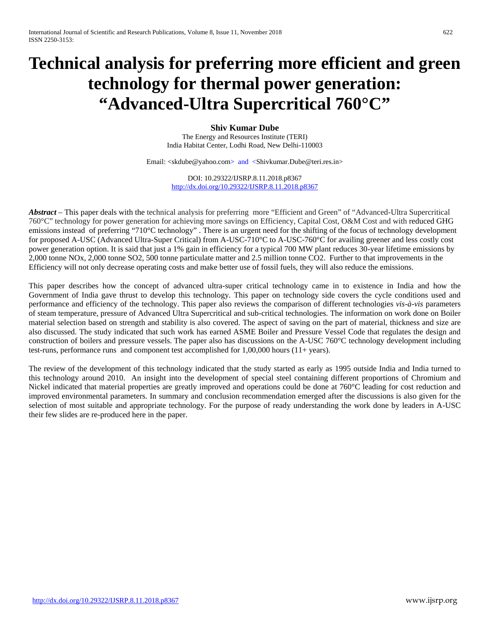# **Technical analysis for preferring more efficient and green technology for thermal power generation: "Advanced-Ultra Supercritical 760°C"**

**Shiv Kumar Dube**

The Energy and Resources Institute (TERI) India Habitat Center, Lodhi Road, New Delhi-110003

Email: <skdube@yahoo.com> and <Shivkumar.Dube@teri.res.in>

DOI: 10.29322/IJSRP.8.11.2018.p8367 <http://dx.doi.org/10.29322/IJSRP.8.11.2018.p8367>

*Abstract* – This paper deals with the technical analysis for preferring more "Efficient and Green" of "Advanced-Ultra Supercritical 760°C" technology for power generation for achieving more savings on Efficiency, Capital Cost, O&M Cost and with reduced GHG emissions instead of preferring "710°C technology" . There is an urgent need for the shifting of the focus of technology development for proposed A-USC (Advanced Ultra-Super Critical) from A-USC-710°C to A-USC-760°C for availing greener and less costly cost power generation option. It is said that just a 1% gain in efficiency for a typical 700 MW plant reduces 30-year lifetime emissions by 2,000 tonne NOx, 2,000 tonne SO2, 500 tonne particulate matter and 2.5 million tonne CO2. Further to that improvements in the Efficiency will not only decrease operating costs and make better use of fossil fuels, they will also reduce the emissions.

This paper describes how the concept of advanced ultra-super critical technology came in to existence in India and how the Government of India gave thrust to develop this technology. This paper on technology side covers the cycle conditions used and performance and efficiency of the technology. This paper also reviews the comparison of different technologies *vis-à-vis* parameters of steam temperature, pressure of Advanced Ultra Supercritical and sub-critical technologies. The information on work done on Boiler material selection based on strength and stability is also covered. The aspect of saving on the part of material, thickness and size are also discussed. The study indicated that such work has earned ASME Boiler and Pressure Vessel Code that regulates the design and construction of boilers and pressure vessels. The paper also has discussions on the A-USC 760°C technology development including test-runs, performance runs and component test accomplished for 1,00,000 hours (11+ years).

The review of the development of this technology indicated that the study started as early as 1995 outside India and India turned to this technology around 2010. An insight into the development of special steel containing different proportions of Chromium and Nickel indicated that material properties are greatly improved and operations could be done at 760°C leading for cost reduction and improved environmental parameters. In summary and conclusion recommendation emerged after the discussions is also given for the selection of most suitable and appropriate technology. For the purpose of ready understanding the work done by leaders in A-USC their few slides are re-produced here in the paper.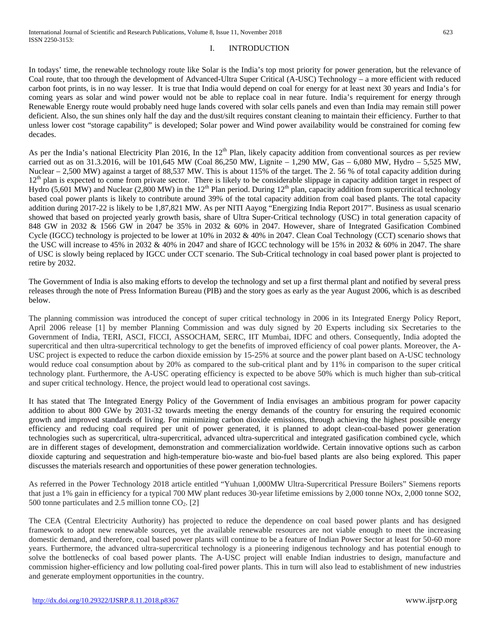### I. INTRODUCTION

In todays' time, the renewable technology route like Solar is the India's top most priority for power generation, but the relevance of Coal route, that too through the development of Advanced-Ultra Super Critical (A-USC) Technology – a more efficient with reduced carbon foot prints, is in no way lesser. It is true that India would depend on coal for energy for at least next 30 years and India's for coming years as solar and wind power would not be able to replace coal in near future. India's requirement for energy through Renewable Energy route would probably need huge lands covered with solar cells panels and even than India may remain still power deficient. Also, the sun shines only half the day and the dust/silt requires constant cleaning to maintain their efficiency. Further to that unless lower cost "storage capability" is developed; Solar power and Wind power availability would be constrained for coming few decades.

As per the India's national Electricity Plan 2016, In the  $12<sup>th</sup>$  Plan, likely capacity addition from conventional sources as per review carried out as on 31.3.2016, will be 101,645 MW (Coal 86,250 MW, Lignite – 1,290 MW, Gas – 6,080 MW, Hydro – 5,525 MW, Nuclear – 2,500 MW) against a target of 88,537 MW. This is about 115% of the target. The 2.56 % of total capacity addition during 12<sup>th</sup> plan is expected to come from private sector. There is likely to be considerable slippage in capacity addition target in respect of Hydro (5,601 MW) and Nuclear (2,800 MW) in the 12<sup>th</sup> Plan period. During 12<sup>th</sup> plan, capacity addition from supercritical technology based coal power plants is likely to contribute around 39% of the total capacity addition from coal based plants. The total capacity addition during 2017-22 is likely to be 1,87,821 MW. As per NITI Aayog "Energizing India Report 2017". Business as usual scenario showed that based on projected yearly growth basis, share of Ultra Super-Critical technology (USC) in total generation capacity of 848 GW in 2032 & 1566 GW in 2047 be 35% in 2032 & 60% in 2047. However, share of Integrated Gasification Combined Cycle (IGCC) technology is projected to be lower at 10% in 2032 & 40% in 2047. Clean Coal Technology (CCT) scenario shows that the USC will increase to 45% in 2032 & 40% in 2047 and share of IGCC technology will be 15% in 2032 & 60% in 2047. The share of USC is slowly being replaced by IGCC under CCT scenario. The Sub-Critical technology in coal based power plant is projected to retire by 2032.

The Government of India is also making efforts to develop the technology and set up a first thermal plant and notified by several press releases through the note of Press Information Bureau (PIB) and the story goes as early as the year August 2006, which is as described below.

The planning commission was introduced the concept of super critical technology in 2006 in its Integrated Energy Policy Report, April 2006 release [1] by member Planning Commission and was duly signed by 20 Experts including six Secretaries to the Government of India, TERI, ASCI, FICCI, ASSOCHAM, SERC, IIT Mumbai, IDFC and others. Consequently, India adopted the supercritical and then ultra-supercritical technology to get the benefits of improved efficiency of coal power plants. Moreover, the A-USC project is expected to reduce the carbon dioxide emission by 15-25% at source and the power plant based on A-USC technology would reduce coal consumption about by 20% as compared to the sub-critical plant and by 11% in comparison to the super critical technology plant. Furthermore, the A-USC operating efficiency is expected to be above 50% which is much higher than sub-critical and super critical technology. Hence, the project would lead to operational cost savings.

It has stated that The Integrated Energy Policy of the Government of India envisages an ambitious program for power capacity addition to about 800 GWe by 2031-32 towards meeting the energy demands of the country for ensuring the required economic growth and improved standards of living. For minimizing carbon dioxide emissions, through achieving the highest possible energy efficiency and reducing coal required per unit of power generated, it is planned to adopt clean-coal-based power generation technologies such as supercritical, ultra-supercritical, advanced ultra-supercritical and integrated gasification combined cycle, which are in different stages of development, demonstration and commercialization worldwide. Certain innovative options such as carbon dioxide capturing and sequestration and high-temperature bio-waste and bio-fuel based plants are also being explored. This paper discusses the materials research and opportunities of these power generation technologies.

As referred in the Power Technology 2018 article entitled "Yuhuan 1,000MW Ultra-Supercritical Pressure Boilers" Siemens reports that just a 1% gain in efficiency for a typical 700 MW plant reduces 30-year lifetime emissions by 2,000 tonne NOx, 2,000 tonne SO2, 500 tonne particulates and 2.5 million tonne  $CO<sub>2</sub>$ . [2]

The CEA (Central Electricity Authority) has projected to reduce the dependence on coal based power plants and has designed framework to adopt new renewable sources, yet the available renewable resources are not viable enough to meet the increasing domestic demand, and therefore, coal based power plants will continue to be a feature of Indian Power Sector at least for 50-60 more years. Furthermore, the advanced ultra-supercritical technology is a pioneering indigenous technology and has potential enough to solve the bottlenecks of coal based power plants. The A-USC project will enable Indian industries to design, manufacture and commission higher-efficiency and low polluting coal-fired power plants. This in turn will also lead to establishment of new industries and generate employment opportunities in the country.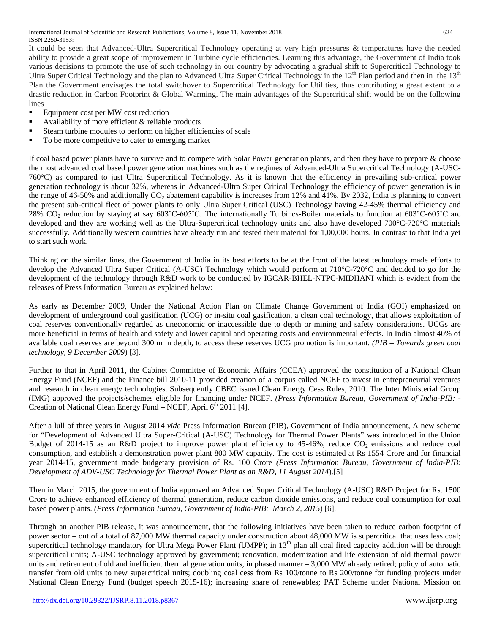It could be seen that Advanced-Ultra Supercritical Technology operating at very high pressures & temperatures have the needed ability to provide a great scope of improvement in Turbine cycle efficiencies. Learning this advantage, the Government of India took various decisions to promote the use of such technology in our country by advocating a gradual shift to Supercritical Technology to Ultra Super Critical Technology and the plan to Advanced Ultra Super Critical Technology in the  $12<sup>th</sup>$  Plan period and then in the  $13<sup>th</sup>$ Plan the Government envisages the total switchover to Supercritical Technology for Utilities, thus contributing a great extent to a drastic reduction in Carbon Footprint & Global Warming. The main advantages of the Supercritical shift would be on the following lines

- Equipment cost per MW cost reduction
- Availability of more efficient  $&$  reliable products
- Steam turbine modules to perform on higher efficiencies of scale
- To be more competitive to cater to emerging market

If coal based power plants have to survive and to compete with Solar Power generation plants, and then they have to prepare & choose the most advanced coal based power generation machines such as the regimes of Advanced-Ultra Supercritical Technology (A-USC-760°C) as compared to just Ultra Supercritical Technology. As it is known that the efficiency in prevailing sub-critical power generation technology is about 32%, whereas in Advanced-Ultra Super Critical Technology the efficiency of power generation is in the range of 46-50% and additionally  $CO<sub>2</sub>$  abatement capability is increases from 12% and 41%. By 2032, India is planning to convert the present sub-critical fleet of power plants to only Ultra Super Critical (USC) Technology having 42-45% thermal efficiency and 28%  $CO_2$  reduction by staying at say 603°C-605°C. The internationally Turbines-Boiler materials to function at 603°C-605°C are developed and they are working well as the Ultra-Supercritical technology units and also have developed 700°C-720°C materials successfully. Additionally western countries have already run and tested their material for 1,00,000 hours. In contrast to that India yet to start such work.

Thinking on the similar lines, the Government of India in its best efforts to be at the front of the latest technology made efforts to develop the Advanced Ultra Super Critical (A-USC) Technology which would perform at 710°C-720°C and decided to go for the development of the technology through R&D work to be conducted by IGCAR-BHEL-NTPC-MIDHANI which is evident from the releases of Press Information Bureau as explained below:

As early as December 2009, Under the National Action Plan on Climate Change Government of India (GOI) emphasized on development of underground coal gasification (UCG) or in-situ coal gasification, a clean coal technology, that allows exploitation of coal reserves conventionally regarded as uneconomic or inaccessible due to depth or mining and safety considerations. UCGs are more beneficial in terms of health and safety and lower capital and operating costs and environmental effects. In India almost 40% of available coal reserves are beyond 300 m in depth, to access these reserves UCG promotion is important. *(PIB – Towards green coal technology, 9 December 2009*) [3].

Further to that in April 2011, the Cabinet Committee of Economic Affairs (CCEA) approved the constitution of a National Clean Energy Fund (NCEF) and the Finance bill 2010-11 provided creation of a corpus called NCEF to invest in entrepreneurial ventures and research in clean energy technologies. Subsequently CBEC issued Clean Energy Cess Rules, 2010. The Inter Ministerial Group (IMG) approved the projects/schemes eligible for financing under NCEF. *(Press Information Bureau, Government of India-PIB:* - Creation of National Clean Energy Fund – NCEF, April  $6<sup>th</sup>$  2011 [4].

After a lull of three years in August 2014 *vide* Press Information Bureau (PIB), Government of India announcement, A new scheme for "Development of Advanced Ultra Super-Critical (A-USC) Technology for Thermal Power Plants" was introduced in the Union Budget of 2014-15 as an R&D project to improve power plant efficiency to 45-46%, reduce  $CO_2$  emissions and reduce coal consumption, and establish a demonstration power plant 800 MW capacity. The cost is estimated at Rs 1554 Crore and for financial year 2014-15, government made budgetary provision of Rs. 100 Crore *(Press Information Bureau, Government of India-PIB: Development of ADV-USC Technology for Thermal Power Plant as an R&D, 11 August 2014*).[5]

Then in March 2015, the government of India approved an Advanced Super Critical Technology (A-USC) R&D Project for Rs. 1500 Crore to achieve enhanced efficiency of thermal generation, reduce carbon dioxide emissions, and reduce coal consumption for coal based power plants. *(Press Information Bureau, Government of India-PIB: March 2, 2015*) [6].

Through an another PIB release, it was announcement, that the following initiatives have been taken to reduce carbon footprint of power sector – out of a total of 87,000 MW thermal capacity under construction about 48,000 MW is supercritical that uses less coal; supercritical technology mandatory for Ultra Mega Power Plant (UMPP); in 13<sup>th</sup> plan all coal fired capacity addition will be through supercritical units; A-USC technology approved by government; renovation, modernization and life extension of old thermal power units and retirement of old and inefficient thermal generation units, in phased manner – 3,000 MW already retired; policy of automatic transfer from old units to new supercritical units; doubling coal cess from Rs 100/tonne to Rs 200/tonne for funding projects under National Clean Energy Fund (budget speech 2015-16); increasing share of renewables; PAT Scheme under National Mission on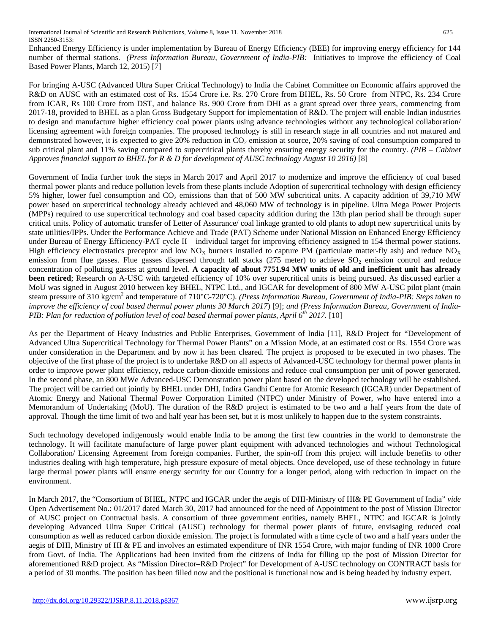Enhanced Energy Efficiency is under implementation by Bureau of Energy Efficiency (BEE) for improving energy efficiency for 144 number of thermal stations. *(Press Information Bureau, Government of India-PIB:* Initiatives to improve the efficiency of Coal Based Power Plants, March 12, 2015) [7]

For bringing A-USC (Advanced Ultra Super Critical Technology) to India the Cabinet Committee on Economic affairs approved the R&D on AUSC with an estimated cost of Rs. 1554 Crore i.e. Rs. 270 Crore from BHEL, Rs. 50 Crore from NTPC, Rs. 234 Crore from ICAR, Rs 100 Crore from DST, and balance Rs. 900 Crore from DHI as a grant spread over three years, commencing from 2017-18, provided to BHEL as a plan Gross Budgetary Support for implementation of R&D. The project will enable Indian industries to design and manufacture higher efficiency coal power plants using advance technologies without any technological collaboration/ licensing agreement with foreign companies. The proposed technology is still in research stage in all countries and not matured and demonstrated however, it is expected to give 20% reduction in CO<sub>2</sub> emission at source, 20% saving of coal consumption compared to sub critical plant and 11% saving compared to supercritical plants thereby ensuring energy security for the country*. (PIB – Cabinet Approves financial support to BHEL for R & D for development of AUSC technology August 10 2016)* [8]

Government of India further took the steps in March 2017 and April 2017 to modernize and improve the efficiency of coal based thermal power plants and reduce pollution levels from these plants include Adoption of supercritical technology with design efficiency 5% higher, lower fuel consumption and  $CO<sub>2</sub>$  emissions than that of 500 MW subcritical units. A capacity addition of 39,710 MW power based on supercritical technology already achieved and 48,060 MW of technology is in pipeline. Ultra Mega Power Projects (MPPs) required to use supercritical technology and coal based capacity addition during the 13th plan period shall be through super critical units. Policy of automatic transfer of Letter of Assurance/ coal linkage granted to old plants to adopt new supercritical units by state utilities/IPPs. Under the Performance Achieve and Trade (PAT) Scheme under National Mission on Enhanced Energy Efficiency under Bureau of Energy Efficiency-PAT cycle II – individual target for improving efficiency assigned to 154 thermal power stations. High efficiency electrostatics preceptor and low  $NO<sub>X</sub>$  burners installed to capture PM (particulate matter-fly ash) and reduce  $NO<sub>X</sub>$ emission from flue gasses. Flue gasses dispersed through tall stacks (275 meter) to achieve  $SO_2$  emission control and reduce concentration of polluting gasses at ground level. **A capacity of about 7751.94 MW units of old and inefficient unit has already been retired**; Research on A-USC with targeted efficiency of 10% over supercritical units is being pursued. As discussed earlier a MoU was signed in August 2010 between key BHEL, NTPC Ltd., and IGCAR for development of 800 MW A-USC pilot plant (main steam pressure of 310 kg/cm<sup>2</sup> and temperature of 710°C-720°C). *(Press Information Bureau, Government of India-PIB: Steps taken to improve the efficiency of coal based thermal power plants 30 March 2017*) [9]; *and (Press Information Bureau, Government of India-PIB: Plan for reduction of pollution level of coal based thermal power plants, April 6th 2017.* [10]

As per the Department of Heavy Industries and Public Enterprises, Government of India [11], R&D Project for "Development of Advanced Ultra Supercritical Technology for Thermal Power Plants" on a Mission Mode, at an estimated cost or Rs. 1554 Crore was under consideration in the Department and by now it has been cleared. The project is proposed to be executed in two phases. The objective of the first phase of the project is to undertake R&D on all aspects of Advanced-USC technology for thermal power plants in order to improve power plant efficiency, reduce carbon-dioxide emissions and reduce coal consumption per unit of power generated. In the second phase, an 800 MWe Advanced-USC Demonstration power plant based on the developed technology will be established. The project will be carried out jointly by BHEL under DHI, Indira Gandhi Centre for Atomic Research (IGCAR) under Department of Atomic Energy and National Thermal Power Corporation Limited (NTPC) under Ministry of Power, who have entered into a Memorandum of Undertaking (MoU). The duration of the R&D project is estimated to be two and a half years from the date of approval. Though the time limit of two and half year has been set, but it is most unlikely to happen due to the system constraints.

Such technology developed indigenously would enable India to be among the first few countries in the world to demonstrate the technology. It will facilitate manufacture of large power plant equipment with advanced technologies and without Technological Collaboration/ Licensing Agreement from foreign companies. Further, the spin-off from this project will include benefits to other industries dealing with high temperature, high pressure exposure of metal objects. Once developed, use of these technology in future large thermal power plants will ensure energy security for our Country for a longer period, along with reduction in impact on the environment.

In March 2017, the "Consortium of BHEL, NTPC and IGCAR under the aegis of DHI-Ministry of HI& PE Government of India" *vide* Open Advertisement No.: 01/2017 dated March 30, 2017 had announced for the need of Appointment to the post of Mission Director of AUSC project on Contractual basis. A consortium of three government entities, namely BHEL, NTPC and IGCAR is jointly developing Advanced Ultra Super Critical (AUSC) technology for thermal power plants of future, envisaging reduced coal consumption as well as reduced carbon dioxide emission. The project is formulated with a time cycle of two and a half years under the aegis of DHI, Ministry of HI & PE and involves an estimated expenditure of INR 1554 Crore, with major funding of INR 1000 Crore from Govt. of India. The Applications had been invited from the citizens of India for filling up the post of Mission Director for aforementioned R&D project. As "Mission Director–R&D Project" for Development of A-USC technology on CONTRACT basis for a period of 30 months. The position has been filled now and the positional is functional now and is being headed by industry expert.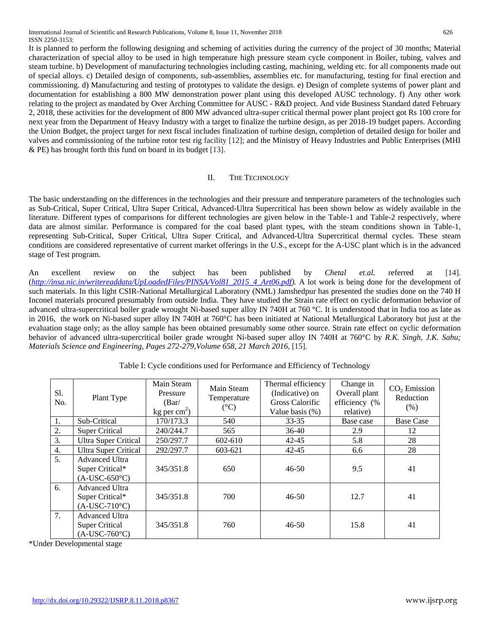International Journal of Scientific and Research Publications, Volume 8, Issue 11, November 2018 626 ISSN 2250-3153:

It is planned to perform the following designing and scheming of activities during the currency of the project of 30 months; Material characterization of special alloy to be used in high temperature high pressure steam cycle component in Boiler, tubing, valves and steam turbine. b) Development of manufacturing technologies including casting, machining, welding etc. for all components made out of special alloys. c) Detailed design of components, sub-assemblies, assemblies etc. for manufacturing, testing for final erection and commissioning. d) Manufacturing and testing of prototypes to validate the design. e) Design of complete systems of power plant and documentation for establishing a 800 MW demonstration power plant using this developed AUSC technology. f) Any other work relating to the project as mandated by Over Arching Committee for AUSC - R&D project. And vide Business Standard dated February 2, 2018, these activities for the development of 800 MW advanced ultra-super critical thermal power plant project got Rs 100 crore for next year from the [Department of Heavy Industry](https://www.business-standard.com/search?type=news&q=department+of+heavy+industry) with a target to finalize the turbine design, as per 2018-19 budget papers. According the Union Budget, the project target for next fiscal includes finalization of turbine design, completion of detailed design for boiler and valves and commissioning of the turbine rotor test rig facility [12]; and the Ministry of Heavy Industries and Public Enterprises (MHI & PE) has brought forth this fund on board in its budget [13].

#### II. THE TECHNOLOGY

The basic understanding on the differences in the technologies and their pressure and temperature parameters of the technologies such as Sub-Critical, Super Critical, Ultra Super Critical, Advanced-Ultra Supercritical has been shown below as widely available in the literature. Different types of comparisons for different technologies are given below in the Table-1 and Table-2 respectively, where data are almost similar. Performance is compared for the coal based plant types, with the steam conditions shown in Table-1, representing Sub-Critical, Super Critical, Ultra Super Critical, and Advanced-Ultra Supercritical thermal cycles. These steam conditions are considered representative of current market offerings in the U.S., except for the A-USC plant which is in the advanced stage of Test program.

An excellent review on the subject has been published by *Chetal et.al.* referred at [14]. (*[http://insa.nic.in/writereaddata/UpLoadedFiles/PINSA/Vol81\\_2015\\_4\\_Art06.pdf\)](http://insa.nic.in/writereaddata/UpLoadedFiles/PINSA/Vol81_2015_4_Art06.pdf).* A lot work is being done for the development of such materials. In this light CSIR-National Metallurgical Laboratory (NML) Jamshedpur has presented the studies done on the 740 H Inconel materials procured presumably from outside India. They have studied the Strain rate effect on cyclic deformation behavior of advanced ultra-supercritical boiler grade wrought Ni-based super alloy IN 740H at 760 °C. It is understood that in India too as late as in 2016, the work on Ni-based super alloy IN 740H at 760°C has been initiated at National Metallurgical Laboratory but just at the evaluation stage only; as the alloy sample has been obtained presumably some other source. Strain rate effect on cyclic deformation behavior of advanced ultra-supercritical boiler grade wrought Ni-based super alloy IN 740H at 760°C by *R.K. Singh, J.K. Sahu; Materials Science and Engineering, Pages 272-279,Volume 658, 21 March 2016*, [15].

| S1.<br>No. | Plant Type                                                               | Main Steam<br>Pressure<br>(Bar)<br>$kg$ per cm <sup>2</sup> ) | Main Steam<br>Temperature<br>$({}^{\circ}C)$ | Thermal efficiency<br>(Indicative) on<br>Gross Calorific<br>Value basis $(\%)$ | Change in<br>Overall plant<br>efficiency (%<br>relative) | $CO2$ Emission<br>Reduction<br>(% ) |
|------------|--------------------------------------------------------------------------|---------------------------------------------------------------|----------------------------------------------|--------------------------------------------------------------------------------|----------------------------------------------------------|-------------------------------------|
| 1.         | Sub-Critical                                                             | 170/173.3                                                     | 540                                          | 33-35                                                                          | Base case                                                | <b>Base Case</b>                    |
| 2.         | <b>Super Critical</b>                                                    | 240/244.7                                                     | 565                                          | $36-40$                                                                        | 2.9                                                      | 12                                  |
| 3.         | <b>Ultra Super Critical</b>                                              | 250/297.7                                                     | 602-610                                      | $42 - 45$                                                                      | 5.8                                                      | 28                                  |
| 4.         | <b>Ultra Super Critical</b>                                              | 292/297.7                                                     | 603-621                                      | $42 - 45$                                                                      | 6.6                                                      | 28                                  |
| 5.         | <b>Advanced Ultra</b><br>Super Critical*<br>$(A-USC-650^{\circ}C)$       | 345/351.8                                                     | 650                                          | $46 - 50$                                                                      | 9.5                                                      | 41                                  |
| 6.         | <b>Advanced Ultra</b><br>Super Critical*<br>$(A-USC-710^{\circ}C)$       | 345/351.8                                                     | 700                                          | $46 - 50$                                                                      | 12.7                                                     | 41                                  |
| 7.         | <b>Advanced Ultra</b><br><b>Super Critical</b><br>$(A-USC-760^{\circ}C)$ | 345/351.8                                                     | 760                                          | $46 - 50$                                                                      | 15.8                                                     | 41                                  |

Table I: Cycle conditions used for Performance and Efficiency of Technology

\*Under Developmental stage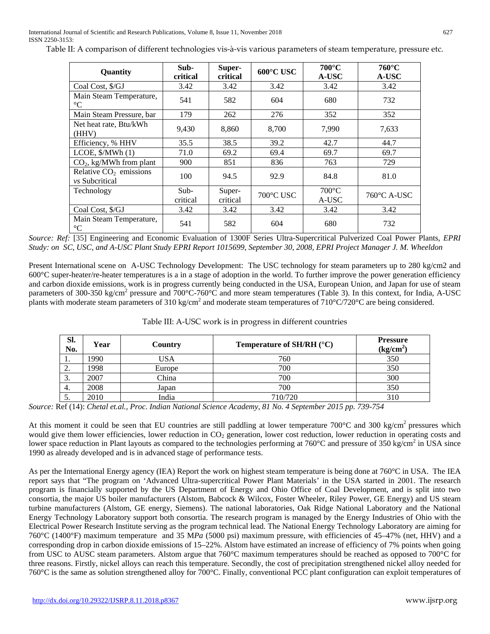International Journal of Scientific and Research Publications, Volume 8, Issue 11, November 2018 627 ISSN 2250-3153:

| Quantity                                          | Sub-<br>critical   | Super-<br>critical | 600°C USC | $700^{\circ}$ C<br>A-USC | $760^{\circ}$ C<br>A-USC |
|---------------------------------------------------|--------------------|--------------------|-----------|--------------------------|--------------------------|
| Coal Cost, \$/GJ                                  | 3.42               | 3.42               | 3.42      | 3.42                     | 3.42                     |
| Main Steam Temperature,<br>$\rm ^{\circ}C$        | 541                | 582                | 604       | 680                      | 732                      |
| Main Steam Pressure, bar                          | 179                | 262                | 276       | 352                      | 352                      |
| Net heat rate, Btu/kWh<br>(HHV)                   | 9,430              | 8,860              | 8,700     | 7,990                    | 7,633                    |
| Efficiency, % HHV                                 | 35.5               | 38.5               | 39.2      | 42.7                     | 44.7                     |
| LCOE, $\frac{\sqrt{W}}{\sqrt{1}}$ (1)             | 71.0               | 69.2               | 69.4      | 69.7                     | 69.7                     |
| $CO2$ , kg/MWh from plant                         | 900                | 851                | 836       | 763                      | 729                      |
| Relative $CO2$ emissions<br><i>vs</i> Subcritical | 100                | 94.5               | 92.9      | 84.8                     | 81.0                     |
| Technology                                        | $Sub-$<br>critical | Super-<br>critical | 700°C USC | $700^{\circ}$ C<br>A-USC | $760^{\circ}$ C A-USC    |
| Coal Cost, \$/GJ                                  | 3.42               | 3.42               | 3.42      | 3.42                     | 3.42                     |
| Main Steam Temperature,<br>$\rm ^{\circ}C$        | 541                | 582                | 604       | 680                      | 732                      |

Table II: A comparison of different technologies vis-à-vis various parameters of steam temperature, pressure etc.

*Source: Ref:* [35] Engineering and Economic Evaluation of 1300F Series Ultra-Supercritical Pulverized Coal Power Plants, *EPRI Study: on SC, USC, and A-USC Plant Study EPRI Report 1015699, September 30, 2008, EPRI Project Manager J. M. Wheeldon*

Present International scene on A-USC Technology Development: The USC technology for steam parameters up to 280 kg/cm2 and 600°C super-heater/re-heater temperatures is a in a stage of adoption in the world. To further improve the power generation efficiency and carbon dioxide emissions, work is in progress currently being conducted in the USA, European Union, and Japan for use of steam parameters of 300-350 kg/cm<sup>2</sup> pressure and 700 $^{\circ}$ C-760 $^{\circ}$ C and more steam temperatures (Table 3). In this context, for India, A-USC plants with moderate steam parameters of 310 kg/cm<sup>2</sup> and moderate steam temperatures of 710°C/720°C are being considered.

| SI.<br>No. | Year | Country | Temperature of SH/RH $(^{\circ}C)$ | <b>Pressure</b><br>(kg/cm <sup>2</sup> ) |
|------------|------|---------|------------------------------------|------------------------------------------|
| . .        | 1990 | USA     | 760                                | 350                                      |
| 2.         | 1998 | Europe  | 700                                | 350                                      |
| 3.         | 2007 | China   | 700                                | 300                                      |
| 4.         | 2008 | Japan   | 700                                | 350                                      |
| C.         | 2010 | India   | 710/720                            | 310                                      |

Table III: A-USC work is in progress in different countries

*Source:* Ref (14): *Chetal et.al., Proc. Indian National Science Academy, 81 No. 4 September 2015 pp. 739-754*

At this moment it could be seen that EU countries are still paddling at lower temperature  $700^{\circ}$ C and  $300 \text{ kg/cm}^2$  pressures which would give them lower efficiencies, lower reduction in  $CO<sub>2</sub>$  generation, lower cost reduction, lower reduction in operating costs and lower space reduction in Plant layouts as compared to the technologies performing at  $760^{\circ}$ C and pressure of  $350 \text{ kg/cm}^2$  in USA since 1990 as already developed and is in advanced stage of performance tests.

As per the International Energy agency (IEA) Report the work on highest steam temperature is being done at 760°C in USA. The IEA report says that "The program on 'Advanced Ultra-supercritical Power Plant Materials' in the USA started in 2001. The research program is financially supported by the US Department of Energy and Ohio Office of Coal Development, and is split into two consortia, the major US boiler manufacturers (Alstom, Babcock & Wilcox, Foster Wheeler, Riley Power, GE Energy) and US steam turbine manufacturers (Alstom, GE energy, Siemens). The national laboratories, Oak Ridge National Laboratory and the National Energy Technology Laboratory support both consortia. The research program is managed by the Energy Industries of Ohio with the Electrical Power Research Institute serving as the program technical lead. The National Energy Technology Laboratory are aiming for 760°C (1400°F) maximum temperature and 35 M*Pa* (5000 psi) maximum pressure, with efficiencies of 45–47% (net, HHV) and a corresponding drop in carbon dioxide emissions of 15–22%. Alstom have estimated an increase of efficiency of 7% points when going from USC to AUSC steam parameters. Alstom argue that 760°C maximum temperatures should be reached as opposed to 700°C for three reasons. Firstly, nickel alloys can reach this temperature. Secondly, the cost of precipitation strengthened nickel alloy needed for 760°C is the same as solution strengthened alloy for 700°C. Finally, conventional PCC plant configuration can exploit temperatures of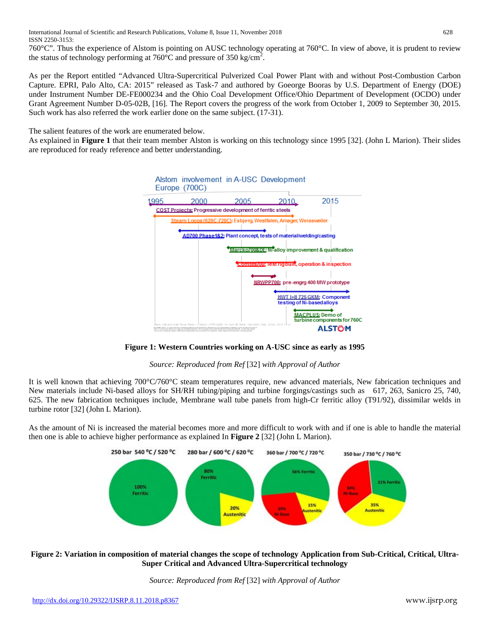760°C". Thus the experience of Alstom is pointing on AUSC technology operating at 760°C. In view of above, it is prudent to review the status of technology performing at  $760^{\circ}$ C and pressure of 350 kg/cm<sup>2</sup>.

As per the Report entitled "Advanced Ultra-Supercritical Pulverized Coal Power Plant with and without Post-Combustion Carbon Capture. EPRI, Palo Alto, CA: 2015" released as Task-7 and authored by Goeorge Booras by U.S. Department of Energy (DOE) under Instrument Number DE-FE000234 and the Ohio Coal Development Office/Ohio Department of Development (OCDO) under Grant Agreement Number D-05-02B, [16]. The Report covers the progress of the work from October 1, 2009 to September 30, 2015. Such work has also referred the work earlier done on the same subject. (17-31).

The salient features of the work are enumerated below.

As explained in **Figure 1** that their team member Alston is working on this technology since 1995 [32]. (John L Marion). Their slides are reproduced for ready reference and better understanding.



**Figure 1: Western Countries working on A-USC since as early as 1995**

*Source: Reproduced from Ref* [32] *with Approval of Author*

It is well known that achieving 700°C/760°C steam temperatures require, new advanced materials, New fabrication techniques and New materials include Ni-based alloys for SH/RH tubing/piping and turbine forgings/castings such as 617, 263, Sanicro 25, 740, 625. The new fabrication techniques include, Membrane wall tube panels from high-Cr ferritic alloy (T91/92), dissimilar welds in turbine rotor [32] (John L Marion).

As the amount of Ni is increased the material becomes more and more difficult to work with and if one is able to handle the material then one is able to achieve higher performance as explained In **Figure 2** [32] (John L Marion).



## **Figure 2: Variation in composition of material changes the scope of technology Application from Sub-Critical, Critical, Ultra-Super Critical and Advanced Ultra-Supercritical technology**

*Source: Reproduced from Ref* [32] *with Approval of Author*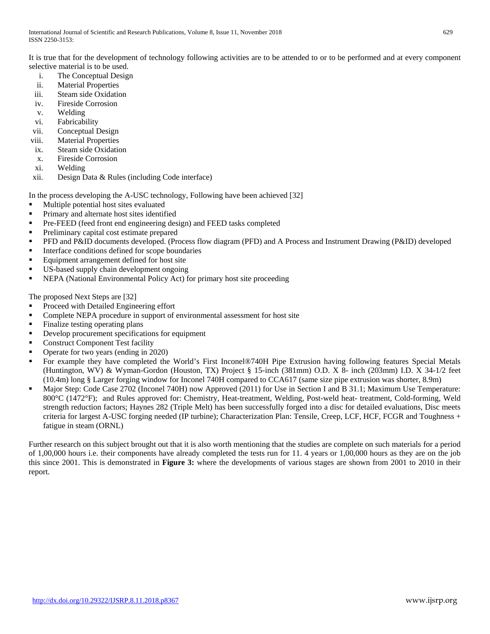It is true that for the development of technology following activities are to be attended to or to be performed and at every component selective material is to be used.

- i. The Conceptual Design
- 
- ii. Material Properties<br>iii. Steam side Oxidation Steam side Oxidation
- iv. Fireside Corrosion
- v. Welding
- vi. Fabricability
- vii. Conceptual Design
- viii. Material Properties
- ix. Steam side Oxidation
- x. Fireside Corrosion
- xi. Welding
- xii. Design Data & Rules (including Code interface)

In the process developing the A-USC technology, Following have been achieved [32]

- **Multiple potential host sites evaluated**
- Primary and alternate host sites identified
- Pre-FEED (feed front end engineering design) and FEED tasks completed
- Preliminary capital cost estimate prepared
- PFD and P&ID documents developed. (Process flow diagram (PFD) and A Process and Instrument Drawing (P&ID) developed
- **Interface conditions defined for scope boundaries**
- Equipment arrangement defined for host site
- US-based supply chain development ongoing
- NEPA (National Environmental Policy Act) for primary host site proceeding

The proposed Next Steps are [32]

- **Proceed with Detailed Engineering effort**
- Complete NEPA procedure in support of environmental assessment for host site
- Finalize testing operating plans
- Develop procurement specifications for equipment
- Construct Component Test facility
- Operate for two years (ending in 2020)
- For example they have completed the World's First Inconel®740H Pipe Extrusion having following features Special Metals (Huntington, WV) & Wyman-Gordon (Houston, TX) Project § 15-inch (381mm) O.D. X 8- inch (203mm) I.D. X 34-1/2 feet (10.4m) long § Larger forging window for Inconel 740H compared to CCA617 (same size pipe extrusion was shorter, 8.9m)
- Major Step: Code Case 2702 (Inconel 740H) now Approved (2011) for Use in Section I and B 31.1; Maximum Use Temperature: 800°C (1472°F); and Rules approved for: Chemistry, Heat-treatment, Welding, Post-weld heat- treatment, Cold-forming, Weld strength reduction factors; Haynes 282 (Triple Melt) has been successfully forged into a disc for detailed evaluations, Disc meets criteria for largest A-USC forging needed (IP turbine); Characterization Plan: Tensile, Creep, LCF, HCF, FCGR and Toughness + fatigue in steam (ORNL)

Further research on this subject brought out that it is also worth mentioning that the studies are complete on such materials for a period of 1,00,000 hours i.e. their components have already completed the tests run for 11. 4 years or 1,00,000 hours as they are on the job this since 2001. This is demonstrated in **Figure 3:** where the developments of various stages are shown from 2001 to 2010 in their report.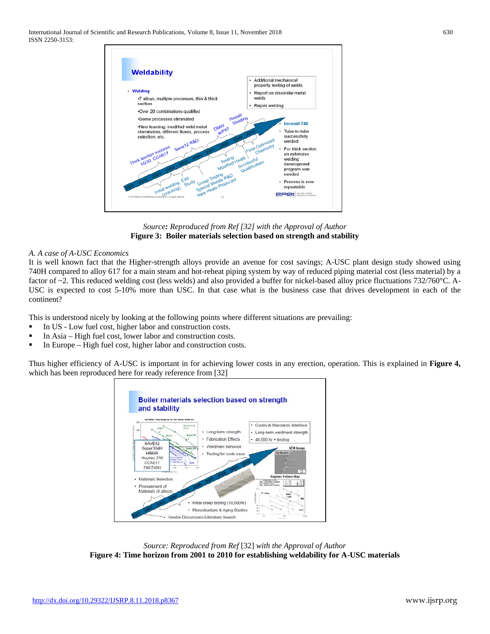International Journal of Scientific and Research Publications, Volume 8, Issue 11, November 2018 630 ISSN 2250-3153:



*Source: Reproduced from Ref [32] with the Approval of Author* **Figure 3: Boiler materials selection based on strength and stability**

#### *A. A case of A-USC Economics*

It is well known fact that the Higher-strength alloys provide an avenue for cost savings; A-USC plant design study showed using 740H compared to alloy 617 for a main steam and hot-reheat piping system by way of reduced piping material cost (less material) by a factor of ~2. This reduced welding cost (less welds) and also provided a buffer for nickel-based alloy price fluctuations 732/760°C. A-USC is expected to cost 5-10% more than USC. In that case what is the business case that drives development in each of the continent?

This is understood nicely by looking at the following points where different situations are prevailing:

- In US Low fuel cost, higher labor and construction costs.
- In Asia High fuel cost, lower labor and construction costs.
- In Europe High fuel cost, higher labor and construction costs.

Thus higher efficiency of A-USC is important in for achieving lower costs in any erection, operation. This is explained in **Figure 4,**  which has been reproduced here for ready reference from [32]



*Source: Reproduced from Ref* [32] *with the Approval of Author* **Figure 4: Time horizon from 2001 to 2010 for establishing weldability for A-USC materials**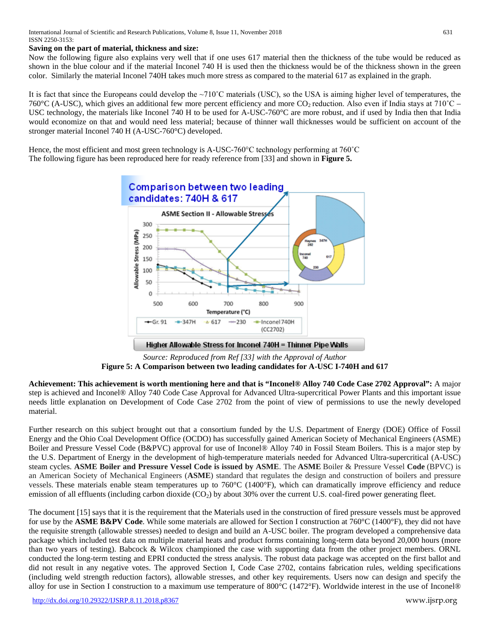#### **Saving on the part of material, thickness and size:**

Now the following figure also explains very well that if one uses 617 material then the thickness of the tube would be reduced as shown in the blue colour and if the material Inconel 740 H is used then the thickness would be of the thickness shown in the green color. Similarly the material Inconel 740H takes much more stress as compared to the material 617 as explained in the graph.

It is fact that since the Europeans could develop the ~710˚C materials (USC), so the USA is aiming higher level of temperatures, the 760°C (A-USC), which gives an additional few more percent efficiency and more CO<sub>2</sub> reduction. Also even if India stays at 710°C – USC technology, the materials like Inconel 740 H to be used for A-USC-760°C are more robust, and if used by India then that India would economize on that and would need less material; because of thinner wall thicknesses would be sufficient on account of the stronger material Inconel 740 H (A-USC-760°C) developed.

Hence, the most efficient and most green technology is A-USC-760°C technology performing at 760˚C The following figure has been reproduced here for ready reference from [33] and shown in **Figure 5.**



*Source: Reproduced from Ref [33] with the Approval of Author* **Figure 5: A Comparison between two leading candidates for A-USC I-740H and 617**

**Achievement: This achievement is worth mentioning here and that is "Inconel® Alloy 740 Code Case 2702 Approval":** A major step is achieved and Inconel® Alloy 740 Code Case Approval for Advanced Ultra-supercritical Power Plants and this important issue needs little explanation on Development of Code Case 2702 from the point of view of permissions to use the newly developed material.

Further research on this subject brought out that a consortium funded by the U.S. Department of Energy (DOE) Office of Fossil Energy and the Ohio Coal Development Office (OCDO) has successfully gained American Society of Mechanical Engineers (ASME) Boiler and Pressure Vessel Code (B&PVC) approval for use of Inconel® Alloy 740 in Fossil Steam Boilers. This is a major step by the U.S. Department of Energy in the development of high-temperature materials needed for Advanced Ultra-supercritical (A-USC) steam cycles. **ASME Boiler and Pressure Vessel Code is issued by ASME**. The **ASME** Boiler & Pressure Vessel **Code** (BPVC) is an American Society of Mechanical Engineers (**ASME**) standard that regulates the design and construction of boilers and pressure vessels. These materials enable steam temperatures up to 760°C (1400°F), which can dramatically improve efficiency and reduce emission of all effluents (including carbon dioxide  $(CO<sub>2</sub>)$ ) by about 30% over the current U.S. coal-fired power generating fleet.

The document [15] says that it is the requirement that the Materials used in the construction of fired pressure vessels must be approved for use by the **ASME B&PV Code**. While some materials are allowed for Section I construction at 760°C (1400°F), they did not have the requisite strength (allowable stresses) needed to design and build an A-USC boiler. The program developed a comprehensive data package which included test data on multiple material heats and product forms containing long-term data beyond 20,000 hours (more than two years of testing). Babcock & Wilcox championed the case with supporting data from the other project members. ORNL conducted the long-term testing and EPRI conducted the stress analysis. The robust data package was accepted on the first ballot and did not result in any negative votes. The approved Section I, Code Case 2702, contains fabrication rules, welding specifications (including weld strength reduction factors), allowable stresses, and other key requirements. Users now can design and specify the alloy for use in Section I construction to a maximum use temperature of 800°C (1472°F). Worldwide interest in the use of Inconel®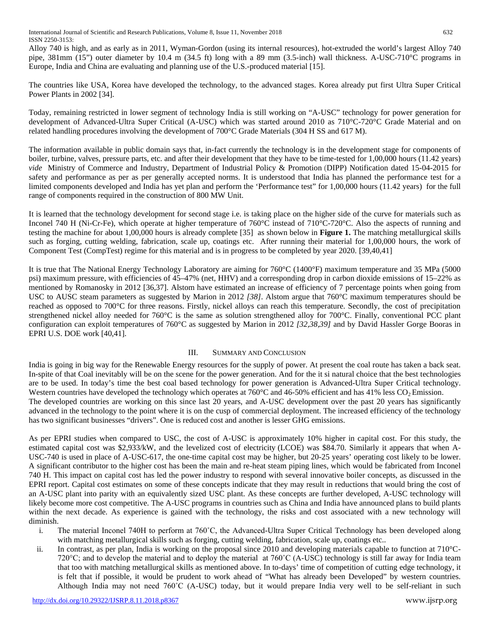Alloy 740 is high, and as early as in 2011, Wyman-Gordon (using its internal resources), hot-extruded the world's largest Alloy 740 pipe, 381mm (15") outer diameter by 10.4 m (34.5 ft) long with a 89 mm (3.5-inch) wall thickness. A-USC-710°C programs in Europe, India and China are evaluating and planning use of the U.S.-produced material [15].

The countries like USA, Korea have developed the technology, to the advanced stages. Korea already put first Ultra Super Critical Power Plants in 2002 [34].

Today, remaining restricted in lower segment of technology India is still working on "A-USC" technology for power generation for development of Advanced-Ultra Super Critical (A-USC) which was started around 2010 as 710°C-720°C Grade Material and on related handling procedures involving the development of 700°C Grade Materials (304 H SS and 617 M).

The information available in public domain says that, in-fact currently the technology is in the development stage for components of boiler, turbine, valves, pressure parts, etc. and after their development that they have to be time-tested for 1,00,000 hours (11.42 years) *vide* Ministry of Commerce and Industry, Department of Industrial Policy & Promotion (DIPP) Notification dated 15-04-2015 for safety and performance as per as per generally accepted norms. It is understood that India has planned the performance test for a limited components developed and India has yet plan and perform the 'Performance test" for 1,00,000 hours (11.42 years) for the full range of components required in the construction of 800 MW Unit.

It is learned that the technology development for second stage i.e. is taking place on the higher side of the curve for materials such as Inconel 740 H (Ni-Cr-Fe), which operate at higher temperature of 760°C instead of 710°C-720°C. Also the aspects of running and testing the machine for about 1,00,000 hours is already complete [35] as shown below in **Figure 1.** The matching metallurgical skills such as forging, cutting welding, fabrication, scale up, coatings etc. After running their material for 1,00,000 hours, the work of Component Test (CompTest) regime for this material and is in progress to be completed by year 2020. [39,40,41]

It is true that The National Energy Technology Laboratory are aiming for 760°C (1400°F) maximum temperature and 35 MPa (5000 psi) maximum pressure, with efficiencies of 45–47% (net, HHV) and a corresponding drop in carbon dioxide emissions of 15–22% as mentioned by Romanosky in 2012 [36,37]. Alstom have estimated an increase of efficiency of 7 percentage points when going from USC to AUSC steam parameters as suggested by Marion in 2012 *[38]*. Alstom argue that 760°C maximum temperatures should be reached as opposed to 700°C for three reasons. Firstly, nickel alloys can reach this temperature. Secondly, the cost of precipitation strengthened nickel alloy needed for 760°C is the same as solution strengthened alloy for 700°C. Finally, conventional PCC plant configuration can exploit temperatures of 760°C as suggested by Marion in 2012 *[32,38,39]* and by David Hassler Gorge Booras in EPRI U.S. DOE work [40,41].

## III. SUMMARY AND CONCLUSION

India is going in big way for the Renewable Energy resources for the supply of power. At present the coal route has taken a back seat. In-spite of that Coal inevitably will be on the scene for the power generation. And for the it si natural choice that the best technologies are to be used. In today's time the best coal based technology for power generation is Advanced-Ultra Super Critical technology. Western countries have developed the technology which operates at  $760^{\circ}$ C and 46-50% efficient and has 41% less  $CO<sub>2</sub>$  Emission. The developed countries are working on this since last 20 years, and A-USC development over the past 20 years has significantly advanced in the technology to the point where it is on the cusp of commercial deployment. The increased efficiency of the technology has two significant businesses "drivers". One is reduced cost and another is lesser GHG emissions.

As per EPRI studies when compared to USC, the cost of A-USC is approximately 10% higher in capital cost. For this study, the estimated capital cost was \$2,933/kW, and the levelized cost of electricity (LCOE) was \$84.70. Similarly it appears that when A-USC-740 is used in place of A-USC-617, the one-time capital cost may be higher, but 20-25 years' operating cost likely to be lower. A significant contributor to the higher cost has been the main and re-heat steam piping lines, which would be fabricated from Inconel 740 H. This impact on capital cost has led the power industry to respond with several innovative boiler concepts, as discussed in the EPRI report. Capital cost estimates on some of these concepts indicate that they may result in reductions that would bring the cost of an A-USC plant into parity with an equivalently sized USC plant. As these concepts are further developed, A-USC technology will likely become more cost competitive. The A-USC programs in countries such as China and India have announced plans to build plants within the next decade. As experience is gained with the technology, the risks and cost associated with a new technology will diminish.

- i. The material Inconel 740H to perform at 760˚C, the Advanced-Ultra Super Critical Technology has been developed along with matching metallurgical skills such as forging, cutting welding, fabrication, scale up, coatings etc..
- ii. In contrast, as per plan, India is working on the proposal since 2010 and developing materials capable to function at 710°C-720°C; and to develop the material and to deploy the material at 760˚C (A-USC) technology is still far away for India team that too with matching metallurgical skills as mentioned above. In to-days' time of competition of cutting edge technology, it is felt that if possible, it would be prudent to work ahead of "What has already been Developed" by western countries. Although India may not need 760˚C (A-USC) today, but it would prepare India very well to be self-reliant in such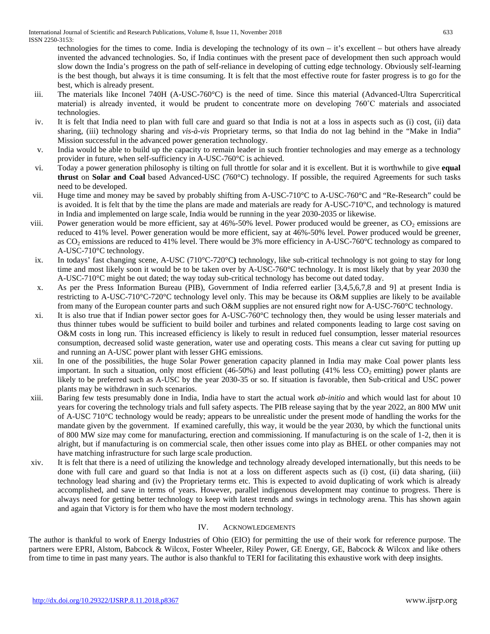technologies for the times to come. India is developing the technology of its own – it's excellent – but others have already invented the advanced technologies. So, if India continues with the present pace of development then such approach would slow down the India's progress on the path of self-reliance in developing of cutting edge technology. Obviously self-learning is the best though, but always it is time consuming. It is felt that the most effective route for faster progress is to go for the best, which is already present.

- iii. The materials like Inconel 740H (A-USC-760°C) is the need of time. Since this material (Advanced-Ultra Supercritical material) is already invented, it would be prudent to concentrate more on developing 760˚C materials and associated technologies.
- iv. It is felt that India need to plan with full care and guard so that India is not at a loss in aspects such as (i) cost, (ii) data sharing, (iii) technology sharing and *vis-à-vis* Proprietary terms, so that India do not lag behind in the "Make in India" Mission successful in the advanced power generation technology.
- v. India would be able to build up the capacity to remain leader in such frontier technologies and may emerge as a technology provider in future, when self-sufficiency in A-USC-760°C is achieved.
- vi. Today a power generation philosophy is tilting on full throttle for solar and it is excellent. But it is worthwhile to give **equal thrust** on **Solar and Coal** based Advanced-USC (760°C) technology. If possible, the required Agreements for such tasks need to be developed.
- vii. Huge time and money may be saved by probably shifting from A-USC-710°C to A-USC-760°C and "Re-Research" could be is avoided. It is felt that by the time the plans are made and materials are ready for A-USC-710°C, and technology is matured in India and implemented on large scale, India would be running in the year 2030-2035 or likewise.
- viii. Power generation would be more efficient, say at  $46\% -50\%$  level. Power produced would be greener, as  $CO<sub>2</sub>$  emissions are reduced to 41% level. Power generation would be more efficient, say at 46%-50% level. Power produced would be greener, as CO<sub>2</sub> emissions are reduced to 41% level. There would be 3% more efficiency in A-USC-760°C technology as compared to A-USC-710°C technology.
- ix. In todays' fast changing scene, A-USC (710°C-720°C**)** technology, like sub-critical technology is not going to stay for long time and most likely soon it would be to be taken over by A-USC-760°C technology. It is most likely that by year 2030 the A-USC-710°C might be out dated; the way today sub-critical technology has become out dated today.
- x. As per the Press Information Bureau (PIB), Government of India referred earlier [3,4,5,6,7,8 and 9] at present India is restricting to A-USC-710°C-720°C technology level only. This may be because its O&M supplies are likely to be available from many of the European counter parts and such O&M supplies are not ensured right now for A-USC-760°C technology.
- xi. It is also true that if Indian power sector goes for A-USC-760°C technology then, they would be using lesser materials and thus thinner tubes would be sufficient to build boiler and turbines and related components leading to large cost saving on O&M costs in long run. This increased efficiency is likely to result in reduced fuel consumption, lesser material resources consumption, decreased solid waste generation, water use and operating costs. This means a clear cut saving for putting up and running an A-USC power plant with lesser GHG emissions.
- xii. In one of the possibilities, the huge Solar Power generation capacity planned in India may make Coal power plants less important. In such a situation, only most efficient (46-50%) and least polluting (41% less  $CO<sub>2</sub>$  emitting) power plants are likely to be preferred such as A-USC by the year 2030-35 or so. If situation is favorable, then Sub-critical and USC power plants may be withdrawn in such scenarios.
- xiii. Baring few tests presumably done in India, India have to start the actual work *ab-initio* and which would last for about 10 years for covering the technology trials and full safety aspects. The PIB release saying that by the year 2022, an 800 MW unit of A-USC 710°C technology would be ready; appears to be unrealistic under the present mode of handling the works for the mandate given by the government. If examined carefully, this way, it would be the year 2030, by which the functional units of 800 MW size may come for manufacturing, erection and commissioning. If manufacturing is on the scale of 1-2, then it is alright, but if manufacturing is on commercial scale, then other issues come into play as BHEL or other companies may not have matching infrastructure for such large scale production.
- xiv. It is felt that there is a need of utilizing the knowledge and technology already developed internationally, but this needs to be done with full care and guard so that India is not at a loss on different aspects such as (i) cost, (ii) data sharing, (iii) technology lead sharing and (iv) the Proprietary terms etc. This is expected to avoid duplicating of work which is already accomplished, and save in terms of years. However, parallel indigenous development may continue to progress. There is always need for getting better technology to keep with latest trends and swings in technology arena. This has shown again and again that Victory is for them who have the most modern technology.

# IV. ACKNOWLEDGEMENTS

The author is thankful to work of Energy Industries of Ohio (EIO) for permitting the use of their work for reference purpose. The partners were EPRI, Alstom, Babcock & Wilcox, Foster Wheeler, Riley Power, GE Energy, GE, Babcock & Wilcox and like others from time to time in past many years. The author is also thankful to TERI for facilitating this exhaustive work with deep insights.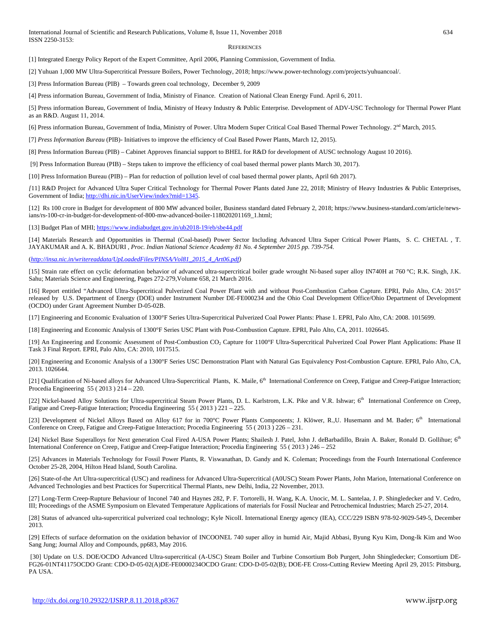#### **REFERENCES**

[1] Integrated Energy Policy Report of the Expert Committee, April 2006, Planning Commission, Government of India.

[2] Yuhuan 1,000 MW Ultra-Supercritical Pressure Boilers, Power Technology, 2018; https://www.power-technology.com/projects/yuhuancoal/.

[3] Press Information Bureau (PIB) – Towards green coal technology, December 9, 2009

[4] Press information Bureau, Government of India, Ministry of Finance. Creation of National Clean Energy Fund. April 6, 2011.

[5] Press information Bureau, Government of India, Ministry of Heavy Industry & Public Enterprise. Development of ADV-USC Technology for Thermal Power Plant as an R&D. August 11, 2014.

[6] Press information Bureau, Government of India, Ministry of Power. Ultra Modern Super Critical Coal Based Thermal Power Technology. 2<sup>nd</sup> March, 2015.

[7] *Press Information Bureau* (PIB)- Initiatives to improve the efficiency of Coal Based Power Plants, March 12, 2015).

[8] Press Information Bureau (PIB) – Cabinet Approves financial support to BHEL for R&D for development of AUSC technology August 10 2016).

[9] Press Information Bureau (PIB) – Steps taken to improve the efficiency of coal based thermal power plants March 30, 2017).

[10] Press Information Bureau (PIB) – Plan for reduction of pollution level of coal based thermal power plants, April 6th 2017).

*[*11] R&D Project for Advanced Ultra Super Critical Technology for Thermal Power Plants dated June 22, 2018; Ministry of Heavy Industries & Public Enterprises, Government of India[; http://dhi.nic.in/UserView/index?mid=1345.](http://dhi.nic.in/UserView/index?mid=1345)

[12] Rs 100 crore in Budget for development of 800 MW advanced boiler, Business standard dated February 2, 2018; https://www.business-standard.com/article/newsians/rs-100-cr-in-budget-for-development-of-800-mw-advanced-boiler-118020201169\_1.html;

[13] Budget Plan of MHI[; https://www.indiabudget.gov.in/ub2018-19/eb/sbe44.pdf](https://www.indiabudget.gov.in/ub2018-19/eb/sbe44.pdf)

[14] Materials Research and Opportunities in Thermal (Coal-based) Power Sector Including Advanced Ultra Super Critical Power Plants, S. C. CHETAL , T. JAYAKUMAR and A. K. BHADURI , *Proc. Indian National Science Academy 81 No. 4 September 2015 pp. 739-754.* 

(*[http://insa.nic.in/writereaddata/UpLoadedFiles/PINSA/Vol81\\_2015\\_4\\_Art06.pdf\)](http://insa.nic.in/writereaddata/UpLoadedFiles/PINSA/Vol81_2015_4_Art06.pdf)*

[15] Strain rate effect on cyclic deformation behavior of advanced ultra-supercritical boiler grade wrought Ni-based super alloy IN740H at 760 °C; R.K. Singh, J.K. Sahu; Materials Science and Engineering, Pages 272-279,Volume 658, 21 March 2016.

[16] Report entitled "Advanced Ultra-Supercritical Pulverized Coal Power Plant with and without Post-Combustion Carbon Capture. EPRI, Palo Alto, CA: 2015" released by U.S. Department of Energy (DOE) under Instrument Number DE-FE000234 and the Ohio Coal Development Office/Ohio Department of Development (OCDO) under Grant Agreement Number D-05-02B.

[17] Engineering and Economic Evaluation of 1300°F Series Ultra-Supercritical Pulverized Coal Power Plants: Phase 1. EPRI, Palo Alto, CA: 2008. 1015699.

[18] Engineering and Economic Analysis of 1300°F Series USC Plant with Post-Combustion Capture. EPRI, Palo Alto, CA, 2011. 1026645.

[19] An Engineering and Economic Assessment of Post-Combustion CO2 Capture for 1100°F Ultra-Supercritical Pulverized Coal Power Plant Applications: Phase II Task 3 Final Report. EPRI, Palo Alto, CA: 2010, 1017515.

[20] Engineering and Economic Analysis of a 1300°F Series USC Demonstration Plant with Natural Gas Equivalency Post-Combustion Capture. EPRI, Palo Alto, CA, 2013. 1026644.

[21] Qualification of Ni-based alloys for Advanced Ultra-Supercritical Plants, K. Maile, 6<sup>th</sup> International Conference on Creep, Fatigue and Creep-Fatigue Interaction; Procedia Engineering 55 ( 2013 ) 214 – 220.

[22] Nickel-based Alloy Solutions for Ultra-supercritical Steam Power Plants, D. L. Karlstrom, L.K. Pike and V.R. Ishwar; 6<sup>th</sup> International Conference on Creep, Fatigue and Creep-Fatigue Interaction; Procedia Engineering 55 ( 2013 ) 221 – 225.

[23] Development of Nickel Alloys Based on Alloy 617 for in 700°C Power Plants Components; J. Klöwer, R.,U. Husemann and M. Bader; 6<sup>th</sup> International Conference on Creep, Fatigue and Creep-Fatigue Interaction; Procedia Engineering 55 ( 2013 ) 226 – 231.

[24] Nickel Base Superalloys for Next generation Coal Fired A-USA Power Plants; Shailesh J. Patel, John J. deBarbadillo, Brain A. Baker, Ronald D. Gollihue; 6<sup>th</sup> International Conference on Creep, Fatigue and Creep-Fatigue Interaction; Procedia Engineering 55 ( 2013 ) 246 – 252

[25] Advances in Materials Technology for Fossil Power Plants, R. Viswanathan, D. Gandy and K. Coleman; Proceedings from the Fourth International Conference October 25-28, 2004, Hilton Head Island, South Carolina.

[26] State-of-the Art Ultra-supercritical (USC) and readiness for Advanced Ultra-Supercritical (A0USC) Steam Power Plants, John Marion, International Conference on Advanced Technologies and best Practices for Supercritical Thermal Plants, new Delhi, India, 22 November, 2013.

[27] Long-Term Creep-Rupture Behaviour of Inconel 740 and Haynes 282, P. F. Tortorelli, H. Wang, K.A. Unocic, M. L. Santelaa, J. P. Shingledecker and V. Cedro, III; Proceedings of the ASME Symposium on Elevated Temperature Applications of materials for Fossil Nuclear and Petrochemical Industries; March 25-27, 2014.

[28] Status of advanced ulta-supercritical pulverized coal technology; Kyle NicolI. International Energy agency (IEA), CCC/229 ISBN 978-92-9029-549-5, December 2013.

[29] Effects of surface deformation on the oxidation behavior of INCOONEL 740 super alloy in humid Air, Majid Abbasi, Byung Kyu Kim, Dong-lk Kim and Woo Sang Jung; Journal Alloy and Compounds, pp683, May 2016.

[30] Update on U.S. DOE/OCDO Advanced Ultra-supercritical (A-USC) Steam Boiler and Turbine Consortium Bob Purgert, John Shingledecker; Consortium DE-FG26-01NT41175OCDO Grant: CDO-D-05-02(A)DE-FE0000234OCDO Grant: CDO-D-05-02(B); DOE-FE Cross-Cutting Review Meeting April 29, 2015: Pittsburg, PA USA.